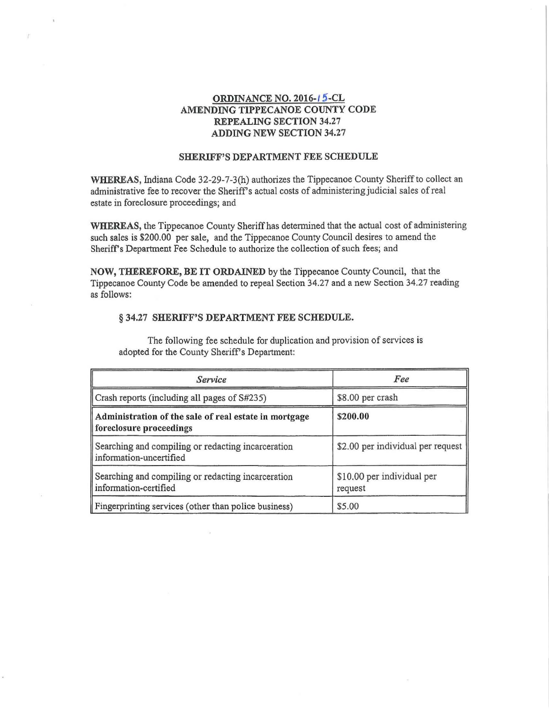## **ORDINANCE NO. 2016-15-CL** AMENDING TIPPECANOE COUNTY CODE REPEALING SECTION 34.27 ADDING NEW SECTION 34.27

## SHERIFF'S DEPARTMENT FEE SCHEDULE

WHEREAS, Indiana Code 32-29-7-3(h) authorizes the Tippecanoe County Sheriff to collect an administrative fee to recover the Sheriff's actual costs of administering judicial sales of real estate in foreclosure proceedings; and

WHEREAS, the Tippecanoe County Sheriff has determined that the actual cost of administering such sales is \$200.00 per sale, and the Tippecanoe County Council desires to amend the Sheriff's Department Fee Schedule to authorize the collection of such fees; and

NOW, THEREFORE, BE IT ORDAINED by the Tippecanoe County Council, that the Tippecanoe County Code be amended to repeal Section 34.27 and a new Section 34.27 reading as follows:

## § 34.27 SHERIFF'S DEPARTMENT FEE SCHEDULE.

The following fee schedule for duplication and provision of services is adopted for the County Sheriff's Department:

| Service                                                                          | Fee                                   |  |  |
|----------------------------------------------------------------------------------|---------------------------------------|--|--|
| Crash reports (including all pages of S#235)                                     | \$8.00 per crash                      |  |  |
| Administration of the sale of real estate in mortgage<br>foreclosure proceedings | \$200.00                              |  |  |
| Searching and compiling or redacting incarceration<br>information-uncertified    | \$2.00 per individual per request     |  |  |
| Searching and compiling or redacting incarceration<br>information-certified      | \$10.00 per individual per<br>request |  |  |
| Fingerprinting services (other than police business)                             | \$5.00                                |  |  |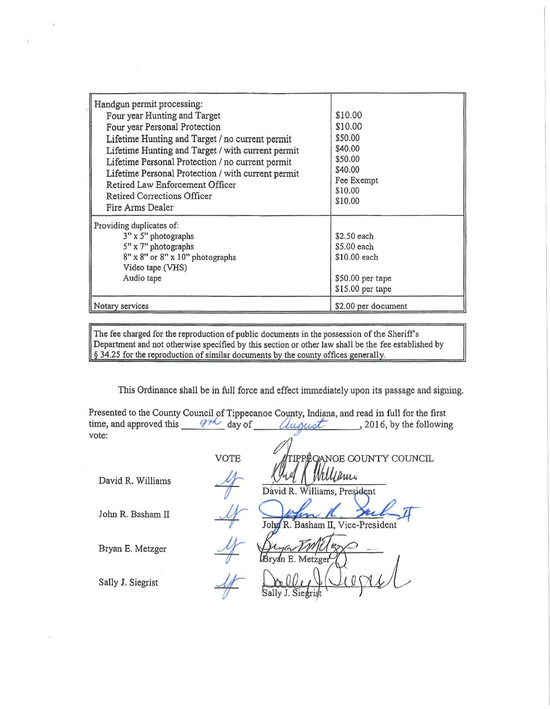| Handgun permit processing:<br>Four year Hunting and Target<br>Four year Personal Protection<br>Lifetime Hunting and Target / no current permit<br>Lifetime Hunting and Target / with current permit<br>Lifetime Personal Protection / no current permit<br>Lifetime Personal Protection / with current permit<br>Retired Law Enforcement Officer<br>Retired Corrections Officer<br>Fire Arms Dealer | \$10.00<br>\$10.00<br>\$50.00<br>\$40.00<br>\$50.00<br>\$40.00<br>Fee Exempt<br>\$10.00<br>\$10.00 |
|-----------------------------------------------------------------------------------------------------------------------------------------------------------------------------------------------------------------------------------------------------------------------------------------------------------------------------------------------------------------------------------------------------|----------------------------------------------------------------------------------------------------|
| Providing duplicates of:<br>$3" \times 5"$ photographs<br>5" x 7" photographs<br>8" x 8" or 8" x 10" photographs<br>Video tape (VHS)<br>Audio tape                                                                                                                                                                                                                                                  | \$2.50 each<br>\$5,00 each<br>\$10.00 each<br>\$50.00 per tape<br>\$15.00 per tape                 |
| Notary services                                                                                                                                                                                                                                                                                                                                                                                     | \$2.00 per document                                                                                |

The fee charged for the reproduction of public documents in the possession of the Sheriff's Department and not otherwise specified by this section or other law shall be the fee established by  $§$  34.25 for the reproduction of similar documents by the county offices generally.

This Ordinance shall be in full force and effect immediately upon its passage and signing.

| Presented to the County Council of Tippecanoe County, Indiana, and read in full for the first |                          |                           |                          |  |
|-----------------------------------------------------------------------------------------------|--------------------------|---------------------------|--------------------------|--|
| time, and approved this                                                                       | $q_{\mathcal{H}}$ day of | uqust                     | , 2016, by the following |  |
| vote:                                                                                         |                          |                           |                          |  |
|                                                                                               | VOTE                     | TIPPECANOE COUNTY COUNCIL |                          |  |

1

Bryan E. Metzger

David R. Williams 4 (UM Milliams, President John R. Basham II  $\frac{M}{J \text{ohy } R}$ . Basham II, Vice-President

NOE COUNTY COUNCIL

Sally J. Siegrist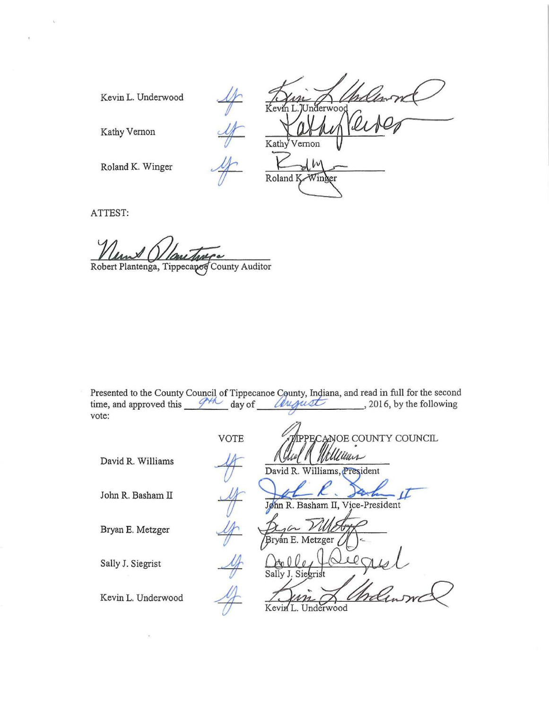Kevin L. Underwood

Kevin L. Underwood Kathy Vernon Roland K-Winger

Kathy Vernon

Roland K. Winger

ATTEST:

Robert Plantenga, Tippecaped County Auditor

Presented to the County Council of Tippecanoe County, Indiana, and read in full for the second Presented to the County Council of Tippecanoe County, Indiana, and read in full for the second<br>time, and approved this  $\frac{d\mu}{d\alpha}$  day of  $\frac{d\mu}{d\alpha}$  , 2016, by the following vote:

|                    | <b>VOTE</b> | <b>IPPECANOE COUNTY COUNCIL</b>        |
|--------------------|-------------|----------------------------------------|
| David R. Williams  |             | Millen<br>David R. Williams, President |
| John R. Basham II  |             | John R. Basham II, Vice-President      |
| Bryan E. Metzger   |             | $16-$<br>Bryan E. Metzger              |
| Sally J. Siegrist  |             | Sally J. Siegrist                      |
| Kevin L. Underwood |             | Kevin I<br>Underwood                   |